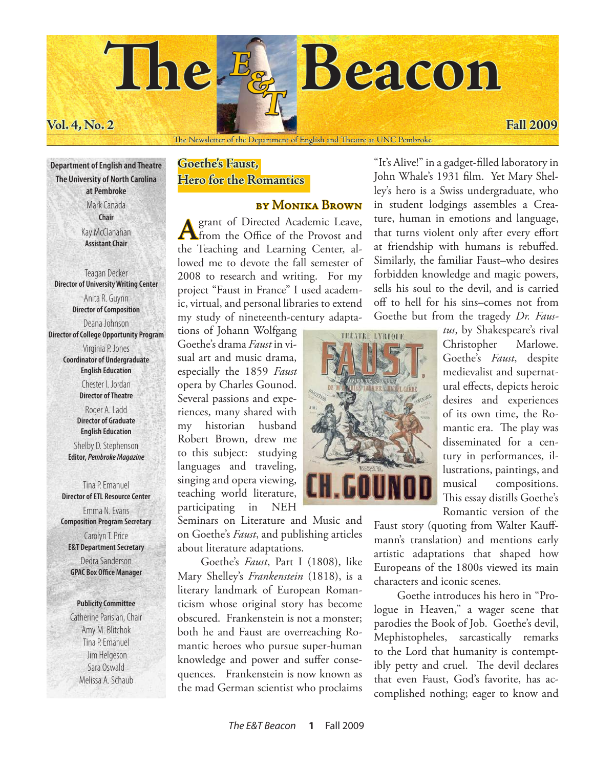# **The Beacon** *E & T*

# **Vol. 4, No. 2 Fall 2009**

### The Newsletter of the Department of English and Theatre at UNC Pembroke

**Department of English and Theatre The University of North Carolina at Pembroke** Mark Canada **Chair** Kay McClanahan **Assistant Chair**

Teagan Decker **Director of University Writing Center** Anita R. Guynn **Director of Composition** Deana Johnson **Director of College Opportunity Program**

> Virginia P. Jones **Coordinator of Undergraduate English Education** Chester I. Jordan **Director of Theatre**

Roger A. Ladd **Director of Graduate English Education** Shelby D. Stephenson **Editor,** *Pembroke Magazine*

Tina P. Emanuel **Director of ETL Resource Center** Emma N. Evans **Composition Program Secretary** Carolyn T. Price **E&T Department Secretary**

Dedra Sanderson **GPAC Box Office Manager**

### **Publicity Committee**

Catherine Parisian, Chair Amy M. Blitchok Tina P. Emanuel Jim Helgeson Sara Oswald Melissa A. Schaub

# **Goethe's Faust, Hero for the Romantics**

# by Monika Brown

**A** grant of Directed Academic Leave, from the Office of the Provost and the Teaching and Learning Center, allowed me to devote the fall semester of 2008 to research and writing. For my project "Faust in France" I used academic, virtual, and personal libraries to extend my study of nineteenth-century adapta-

tions of Johann Wolfgang Goethe's drama *Faust* in visual art and music drama, especially the 1859 *Faust* opera by Charles Gounod. Several passions and experiences, many shared with my historian husband Robert Brown, drew me to this subject: studying languages and traveling, singing and opera viewing, teaching world literature, participating in NEH

Seminars on Literature and Music and on Goethe's *Faust*, and publishing articles about literature adaptations.

Goethe's *Faust*, Part I (1808), like Mary Shelley's *Frankenstein* (1818), is a literary landmark of European Romanticism whose original story has become obscured. Frankenstein is not a monster; both he and Faust are overreaching Romantic heroes who pursue super-human knowledge and power and suffer consequences. Frankenstein is now known as the mad German scientist who proclaims

"It's Alive!" in a gadget-filled laboratory in John Whale's 1931 film. Yet Mary Shelley's hero is a Swiss undergraduate, who in student lodgings assembles a Creature, human in emotions and language, that turns violent only after every effort at friendship with humans is rebuffed. Similarly, the familiar Faust–who desires forbidden knowledge and magic powers, sells his soul to the devil, and is carried off to hell for his sins–comes not from Goethe but from the tragedy *Dr. Faus-*



*tus*, by Shakespeare's rival Christopher Marlowe. Goethe's *Faust*, despite medievalist and supernatural effects, depicts heroic desires and experiences of its own time, the Romantic era. The play was disseminated for a century in performances, illustrations, paintings, and musical compositions. This essay distills Goethe's Romantic version of the

Faust story (quoting from Walter Kauffmann's translation) and mentions early artistic adaptations that shaped how Europeans of the 1800s viewed its main characters and iconic scenes.

Goethe introduces his hero in "Prologue in Heaven," a wager scene that parodies the Book of Job. Goethe's devil, Mephistopheles, sarcastically remarks to the Lord that humanity is contemptibly petty and cruel. The devil declares that even Faust, God's favorite, has accomplished nothing; eager to know and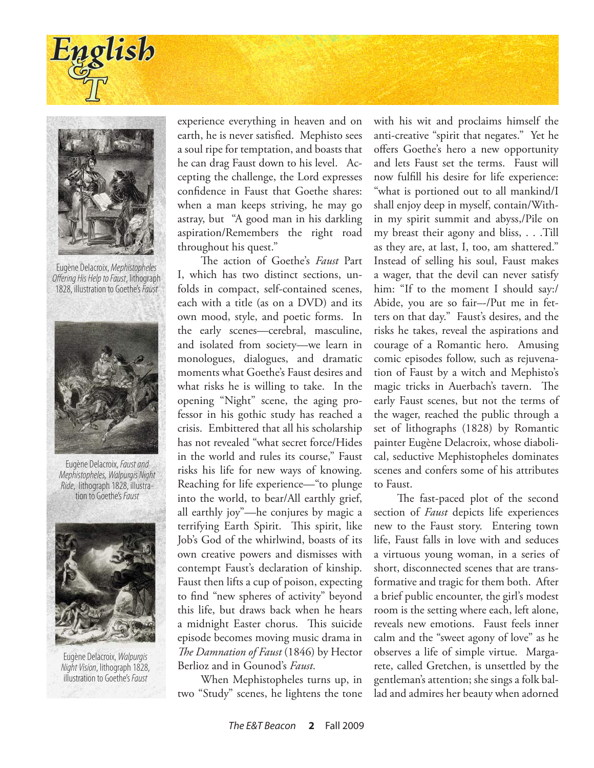



Eugène Delacroix, *Mephistopheles Offering His Help to Faust*, lithograph 1828, illustration to Goethe's *Faust*



Eugène Delacroix, *Faust and Mephistopheles, Walpurgis Night Ride*, lithograph 1828, illustra- tion to Goethe's *Faust*



Eugène Delacroix, *Walpurgis Night Vision*, lithograph 1828, illustration to Goethe's *Faust*

experience everything in heaven and on earth, he is never satisfied. Mephisto sees a soul ripe for temptation, and boasts that he can drag Faust down to his level. Accepting the challenge, the Lord expresses confidence in Faust that Goethe shares: when a man keeps striving, he may go astray, but "A good man in his darkling aspiration/Remembers the right road throughout his quest."

The action of Goethe's *Faust* Part I, which has two distinct sections, unfolds in compact, self-contained scenes, each with a title (as on a DVD) and its own mood, style, and poetic forms. In the early scenes—cerebral, masculine, and isolated from society—we learn in monologues, dialogues, and dramatic moments what Goethe's Faust desires and what risks he is willing to take. In the opening "Night" scene, the aging professor in his gothic study has reached a crisis. Embittered that all his scholarship has not revealed "what secret force/Hides in the world and rules its course," Faust risks his life for new ways of knowing. Reaching for life experience—"to plunge into the world, to bear/All earthly grief, all earthly joy"—he conjures by magic a terrifying Earth Spirit. This spirit, like Job's God of the whirlwind, boasts of its own creative powers and dismisses with contempt Faust's declaration of kinship. Faust then lifts a cup of poison, expecting to find "new spheres of activity" beyond this life, but draws back when he hears a midnight Easter chorus. This suicide episode becomes moving music drama in *The Damnation of Faust* (1846) by Hector Berlioz and in Gounod's *Faust*.

When Mephistopheles turns up, in two "Study" scenes, he lightens the tone with his wit and proclaims himself the anti-creative "spirit that negates." Yet he offers Goethe's hero a new opportunity and lets Faust set the terms. Faust will now fulfill his desire for life experience: "what is portioned out to all mankind/I shall enjoy deep in myself, contain/Within my spirit summit and abyss,/Pile on my breast their agony and bliss, . . .Till as they are, at last, I, too, am shattered." Instead of selling his soul, Faust makes a wager, that the devil can never satisfy him: "If to the moment I should say:/ Abide, you are so fair–-/Put me in fetters on that day." Faust's desires, and the risks he takes, reveal the aspirations and courage of a Romantic hero. Amusing comic episodes follow, such as rejuvenation of Faust by a witch and Mephisto's magic tricks in Auerbach's tavern. The early Faust scenes, but not the terms of the wager, reached the public through a set of lithographs (1828) by Romantic painter Eugène Delacroix, whose diabolical, seductive Mephistopheles dominates scenes and confers some of his attributes to Faust.

The fast-paced plot of the second section of *Faust* depicts life experiences new to the Faust story. Entering town life, Faust falls in love with and seduces a virtuous young woman, in a series of short, disconnected scenes that are transformative and tragic for them both. After a brief public encounter, the girl's modest room is the setting where each, left alone, reveals new emotions. Faust feels inner calm and the "sweet agony of love" as he observes a life of simple virtue. Margarete, called Gretchen, is unsettled by the gentleman's attention; she sings a folk ballad and admires her beauty when adorned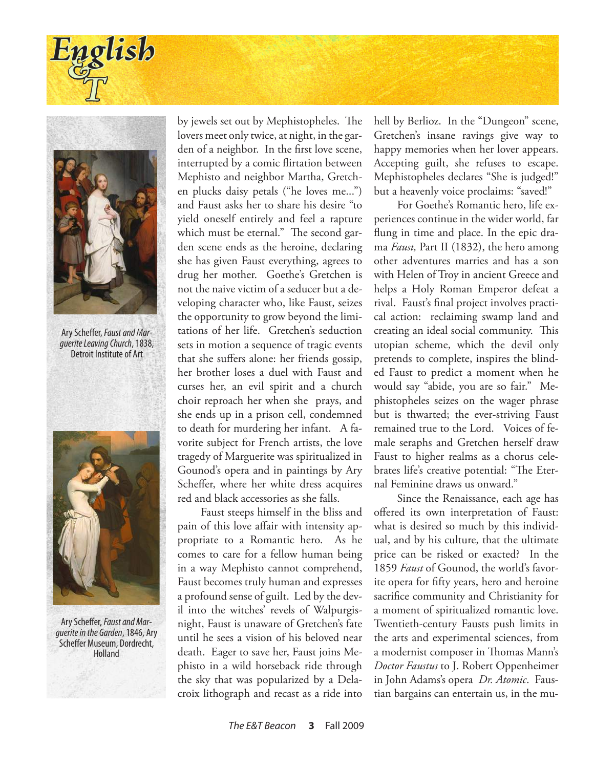



Ary Scheffer, *Faust and Marguerite Leaving Church*, 1838, Detroit Institute of Art



Ary Scheffer, *Faust and Marguerite in the Garden*, 1846, Ary Scheffer Museum, Dordrecht, Holland

by jewels set out by Mephistopheles. The lovers meet only twice, at night, in the garden of a neighbor. In the first love scene, interrupted by a comic flirtation between Mephisto and neighbor Martha, Gretchen plucks daisy petals ("he loves me...") and Faust asks her to share his desire "to yield oneself entirely and feel a rapture which must be eternal." The second garden scene ends as the heroine, declaring she has given Faust everything, agrees to drug her mother. Goethe's Gretchen is not the naive victim of a seducer but a developing character who, like Faust, seizes the opportunity to grow beyond the limitations of her life. Gretchen's seduction sets in motion a sequence of tragic events that she suffers alone: her friends gossip, her brother loses a duel with Faust and curses her, an evil spirit and a church choir reproach her when she prays, and she ends up in a prison cell, condemned to death for murdering her infant. A favorite subject for French artists, the love tragedy of Marguerite was spiritualized in Gounod's opera and in paintings by Ary Scheffer, where her white dress acquires red and black accessories as she falls.

Faust steeps himself in the bliss and pain of this love affair with intensity appropriate to a Romantic hero. As he comes to care for a fellow human being in a way Mephisto cannot comprehend, Faust becomes truly human and expresses a profound sense of guilt. Led by the devil into the witches' revels of Walpurgisnight, Faust is unaware of Gretchen's fate until he sees a vision of his beloved near death. Eager to save her, Faust joins Mephisto in a wild horseback ride through the sky that was popularized by a Delacroix lithograph and recast as a ride into

hell by Berlioz. In the "Dungeon" scene, Gretchen's insane ravings give way to happy memories when her lover appears. Accepting guilt, she refuses to escape. Mephistopheles declares "She is judged!" but a heavenly voice proclaims: "saved!"

For Goethe's Romantic hero, life experiences continue in the wider world, far flung in time and place. In the epic drama *Faust,* Part II (1832), the hero among other adventures marries and has a son with Helen of Troy in ancient Greece and helps a Holy Roman Emperor defeat a rival. Faust's final project involves practical action: reclaiming swamp land and creating an ideal social community. This utopian scheme, which the devil only pretends to complete, inspires the blinded Faust to predict a moment when he would say "abide, you are so fair." Mephistopheles seizes on the wager phrase but is thwarted; the ever-striving Faust remained true to the Lord. Voices of female seraphs and Gretchen herself draw Faust to higher realms as a chorus celebrates life's creative potential: "The Eternal Feminine draws us onward."

Since the Renaissance, each age has offered its own interpretation of Faust: what is desired so much by this individual, and by his culture, that the ultimate price can be risked or exacted? In the 1859 *Faust* of Gounod, the world's favorite opera for fifty years, hero and heroine sacrifice community and Christianity for a moment of spiritualized romantic love. Twentieth-century Fausts push limits in the arts and experimental sciences, from a modernist composer in Thomas Mann's *Doctor Faustus* to J. Robert Oppenheimer in John Adams's opera *Dr. Atomic*. Faustian bargains can entertain us, in the mu-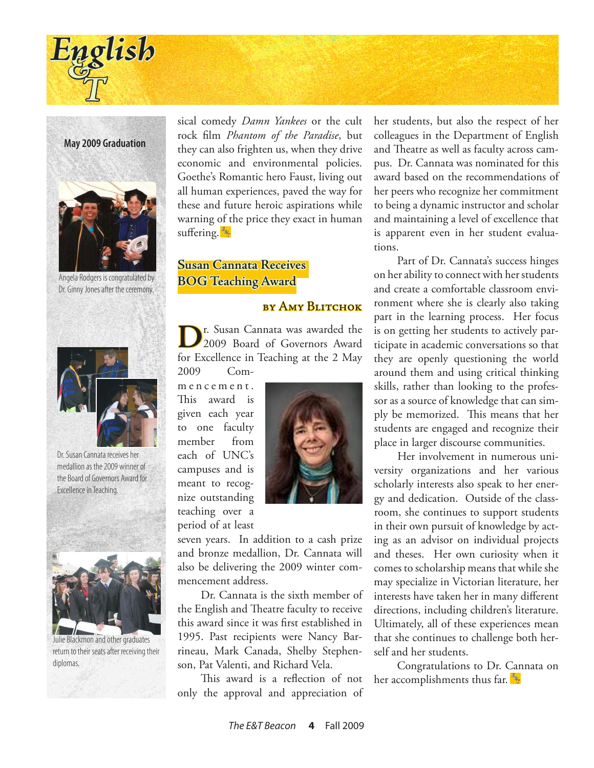

**May 2009 Graduation**



Angela Rodgers is congratulated by Dr. Ginny Jones after the ceremony.



Dr. Susan Cannata receives her medallion as the 2009 winner of the Board of Governors Award for Excellence in Teaching.



Julie Blackmon and other graduates return to their seats after receiving their diplomas.

sical comedy *Damn Yankees* or the cult rock film *Phantom of the Paradise*, but they can also frighten us, when they drive economic and environmental policies. Goethe's Romantic hero Faust, living out all human experiences, paved the way for these and future heroic aspirations while warning of the price they exact in human suffering. *E & T*

# **Susan Cannata Receives BOG Teaching Award**

## by Amy Blitchok

**D**r. Susan Cannata was awarded the 2009 Board of Governors Award for Excellence in Teaching at the 2 May 2009 Com-

m e n c e m e n t . This award is given each year to one faculty member from each of UNC's campuses and is meant to recognize outstanding teaching over a

period of at least



seven years. In addition to a cash prize and bronze medallion, Dr. Cannata will also be delivering the 2009 winter commencement address.

Dr. Cannata is the sixth member of the English and Theatre faculty to receive this award since it was first established in 1995. Past recipients were Nancy Barrineau, Mark Canada, Shelby Stephenson, Pat Valenti, and Richard Vela.

This award is a reflection of not only the approval and appreciation of her students, but also the respect of her colleagues in the Department of English and Theatre as well as faculty across campus. Dr. Cannata was nominated for this award based on the recommendations of her peers who recognize her commitment to being a dynamic instructor and scholar and maintaining a level of excellence that is apparent even in her student evaluations.

Part of Dr. Cannata's success hinges on her ability to connect with her students and create a comfortable classroom environment where she is clearly also taking part in the learning process. Her focus is on getting her students to actively participate in academic conversations so that they are openly questioning the world around them and using critical thinking skills, rather than looking to the professor as a source of knowledge that can simply be memorized. This means that her students are engaged and recognize their place in larger discourse communities.

Her involvement in numerous university organizations and her various scholarly interests also speak to her energy and dedication. Outside of the classroom, she continues to support students in their own pursuit of knowledge by acting as an advisor on individual projects and theses. Her own curiosity when it comes to scholarship means that while she may specialize in Victorian literature, her interests have taken her in many different directions, including children's literature. Ultimately, all of these experiences mean that she continues to challenge both herself and her students.

Congratulations to Dr. Cannata on her accomplishments thus far. *E & T*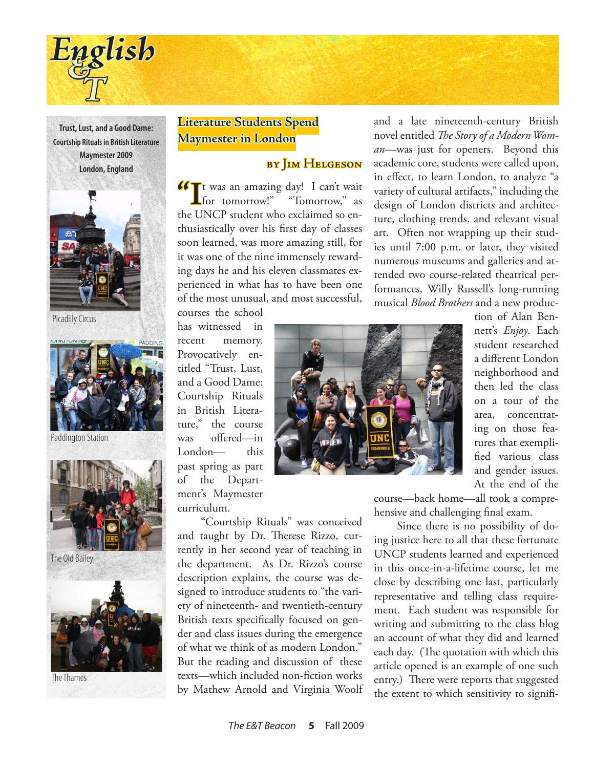

**Trust, Lust, and a Good Dame: Courtship Rituals in British Literature Maymester 2009 London, England**



Picadilly Circus



Paddington Station



The Old Bailey



The Thames

# **Literature Students Spend Maymester in London**

# by Jim Helgeson

**T** was an amazing day! I can't wait "Tomorrow," as the UNCP student who exclaimed so enthusiastically over his first day of classes soon learned, was more amazing still, for it was one of the nine immensely rewarding days he and his eleven classmates experienced in what has to have been one of the most unusual, and most successful,

and a late nineteenth-century British novel entitled *The Story of a Modern Woman*—was just for openers. Beyond this academic core, students were called upon, in effect, to learn London, to analyze "a variety of cultural artifacts," including the design of London districts and architecture, clothing trends, and relevant visual art. Often not wrapping up their studies until 7:00 p.m. or later, they visited numerous museums and galleries and attended two course-related theatrical performances, Willy Russell's long-running musical *Blood Brothers* and a new produc-

courses the school has witnessed in recent memory. Provocatively entitled "Trust, Lust, and a Good Dame: Courtship Rituals in British Literature," the course was offered—in London— this past spring as part of the Department's Maymester curriculum.



tion of Alan Bennett's *Enjoy*. Each student researched a different London neighborhood and then led the class on a tour of the area, concentrating on those features that exemplified various class and gender issues. At the end of the

course—back home—all took a comprehensive and challenging final exam.

Since there is no possibility of doing justice here to all that these fortunate UNCP students learned and experienced in this once-in-a-lifetime course, let me close by describing one last, particularly representative and telling class requirement. Each student was responsible for writing and submitting to the class blog an account of what they did and learned each day. (The quotation with which this article opened is an example of one such entry.) There were reports that suggested the extent to which sensitivity to signifi-

"Courtship Rituals" was conceived and taught by Dr. Therese Rizzo, currently in her second year of teaching in the department. As Dr. Rizzo's course description explains, the course was designed to introduce students to "the variety of nineteenth- and twentieth-century British texts specifically focused on gender and class issues during the emergence of what we think of as modern London." But the reading and discussion of these texts—which included non-fiction works by Mathew Arnold and Virginia Woolf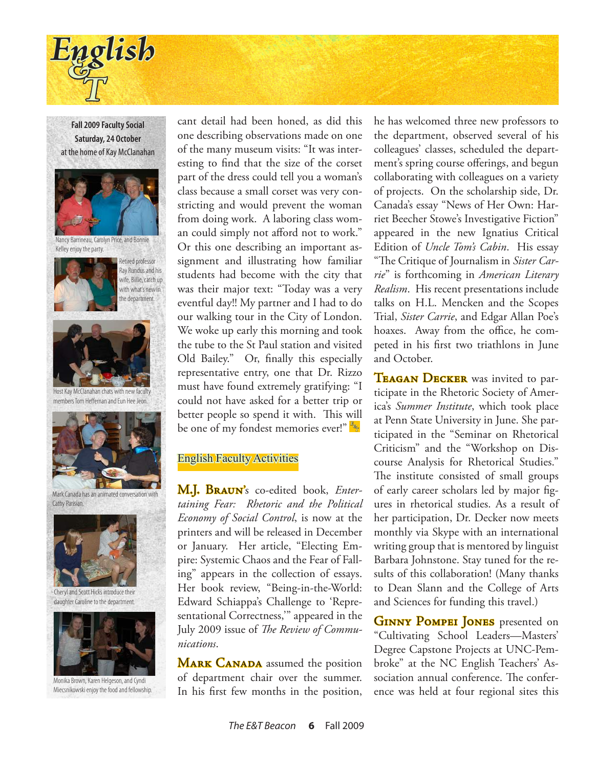

**Fall 2009 Faculty Social Saturday, 24 October** at the home of Kay McClanahan



Nancy Barrineau, Carolyn Price, and Bonnie Kelley enjoy the party.



Ray Rundus and his wife, Billie, catch up with what's new in the department.

Retired professor



Host Kay McClanahan chats with new faculty members Tom Heffernan and Eun Hee Jeon.



Mark Canada has an animated conversation with Cathy Parisian.



Cheryl and Scott Hicks introduce their daughter Caroline to the department.



Monika Brown, Karen Helgeson, and Cyndi Miecsnikowski enjoy the food and fellowship.

cant detail had been honed, as did this one describing observations made on one of the many museum visits: "It was interesting to find that the size of the corset part of the dress could tell you a woman's class because a small corset was very constricting and would prevent the woman from doing work. A laboring class woman could simply not afford not to work." Or this one describing an important assignment and illustrating how familiar students had become with the city that was their major text: "Today was a very eventful day!! My partner and I had to do our walking tour in the City of London. We woke up early this morning and took the tube to the St Paul station and visited Old Bailey." Or, finally this especially representative entry, one that Dr. Rizzo must have found extremely gratifying: "I could not have asked for a better trip or better people so spend it with. This will be one of my fondest memories ever!" *E & T*

## English Faculty Activities

M.J. Braun's co-edited book, *Entertaining Fear: Rhetoric and the Political Economy of Social Control*, is now at the printers and will be released in December or January. Her article, "Electing Empire: Systemic Chaos and the Fear of Falling" appears in the collection of essays. Her book review, "Being-in-the-World: Edward Schiappa's Challenge to 'Representational Correctness,'" appeared in the July 2009 issue of *The Review of Communications*.

**MARK CANADA** assumed the position of department chair over the summer. In his first few months in the position,

he has welcomed three new professors to the department, observed several of his colleagues' classes, scheduled the department's spring course offerings, and begun collaborating with colleagues on a variety of projects. On the scholarship side, Dr. Canada's essay "News of Her Own: Harriet Beecher Stowe's Investigative Fiction" appeared in the new Ignatius Critical Edition of *Uncle Tom's Cabin*. His essay "The Critique of Journalism in *Sister Carrie*" is forthcoming in *American Literary Realism*. His recent presentations include talks on H.L. Mencken and the Scopes Trial, *Sister Carrie*, and Edgar Allan Poe's hoaxes. Away from the office, he competed in his first two triathlons in June and October.

TEAGAN DECKER was invited to participate in the Rhetoric Society of America's *Summer Institute*, which took place at Penn State University in June. She participated in the "Seminar on Rhetorical Criticism" and the "Workshop on Discourse Analysis for Rhetorical Studies." The institute consisted of small groups of early career scholars led by major figures in rhetorical studies. As a result of her participation, Dr. Decker now meets monthly via Skype with an international writing group that is mentored by linguist Barbara Johnstone. Stay tuned for the results of this collaboration! (Many thanks to Dean Slann and the College of Arts and Sciences for funding this travel.)

**GINNY POMPEI JONES** presented on "Cultivating School Leaders—Masters' Degree Capstone Projects at UNC-Pembroke" at the NC English Teachers' Association annual conference. The conference was held at four regional sites this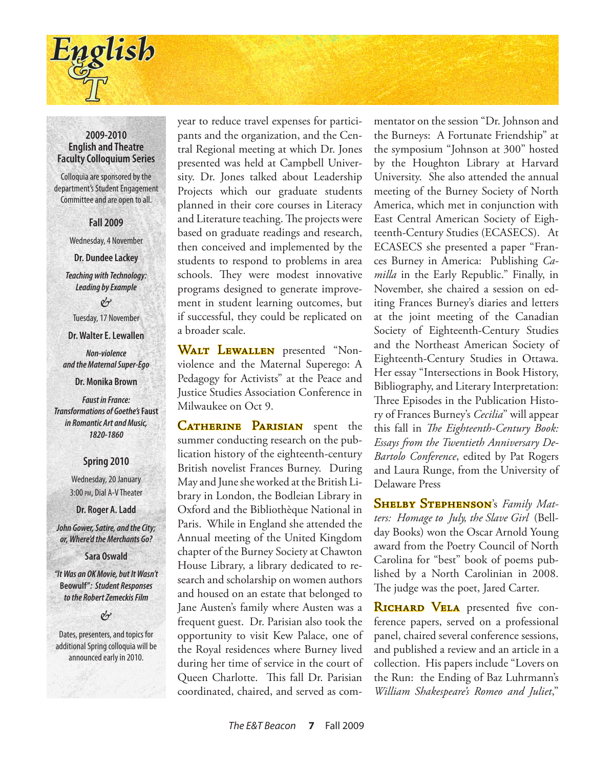

### **2009-2010 English and Theatre Faculty Colloquium Series**

Colloquia are sponsored by the department's Student Engagement Committee and are open to all.

**Fall 2009**

Wednesday, 4 November

**Dr. Dundee Lackey**

*Teaching with Technology: Leading by Example*

& Tuesday, 17 November

**Dr. Walter E. Lewallen**

*Non-violence and the Maternal Super-Ego*

**Dr. Monika Brown**

*Faust in France: Transformations of Goethe's* **Faust** *in Romantic Art and Music, 1820-1860*

### **Spring 2010**

Wednesday, 20 January 3:00 pm, Dial A-V Theater

**Dr. Roger A. Ladd**

*John Gower, Satire, and the City; or, Where'd the Merchants Go?*

**Sara Oswald**

*"It Was an OK Movie, but It Wasn't*  **Beowulf"***: Student Responses to the Robert Zemeckis Film*

&

Dates, presenters, and topics for additional Spring colloquia will be announced early in 2010.

year to reduce travel expenses for participants and the organization, and the Central Regional meeting at which Dr. Jones presented was held at Campbell University. Dr. Jones talked about Leadership Projects which our graduate students planned in their core courses in Literacy and Literature teaching. The projects were based on graduate readings and research, then conceived and implemented by the students to respond to problems in area schools. They were modest innovative programs designed to generate improvement in student learning outcomes, but if successful, they could be replicated on a broader scale.

WALT LEWALLEN presented "Nonviolence and the Maternal Superego: A Pedagogy for Activists" at the Peace and Justice Studies Association Conference in Milwaukee on Oct 9.

**CATHERINE PARISIAN** spent the summer conducting research on the publication history of the eighteenth-century British novelist Frances Burney. During May and June she worked at the British Library in London, the Bodleian Library in Oxford and the Bibliothèque National in Paris. While in England she attended the Annual meeting of the United Kingdom chapter of the Burney Society at Chawton House Library, a library dedicated to research and scholarship on women authors and housed on an estate that belonged to Jane Austen's family where Austen was a frequent guest. Dr. Parisian also took the opportunity to visit Kew Palace, one of the Royal residences where Burney lived during her time of service in the court of Queen Charlotte. This fall Dr. Parisian coordinated, chaired, and served as com-

mentator on the session "Dr. Johnson and the Burneys: A Fortunate Friendship" at the symposium "Johnson at 300" hosted by the Houghton Library at Harvard University. She also attended the annual meeting of the Burney Society of North America, which met in conjunction with East Central American Society of Eighteenth-Century Studies (ECASECS). At ECASECS she presented a paper "Frances Burney in America: Publishing *Camilla* in the Early Republic." Finally, in November, she chaired a session on editing Frances Burney's diaries and letters at the joint meeting of the Canadian Society of Eighteenth-Century Studies and the Northeast American Society of Eighteenth-Century Studies in Ottawa. Her essay "Intersections in Book History, Bibliography, and Literary Interpretation: Three Episodes in the Publication History of Frances Burney's *Cecilia*" will appear this fall in *The Eighteenth-Century Book: Essays from the Twentieth Anniversary De-Bartolo Conference*, edited by Pat Rogers and Laura Runge, from the University of Delaware Press

Shelby Stephenson's *Family Matters: Homage to July, the Slave Girl* (Bellday Books) won the Oscar Arnold Young award from the Poetry Council of North Carolina for "best" book of poems published by a North Carolinian in 2008. The judge was the poet, Jared Carter.

RICHARD VELA presented five conference papers, served on a professional panel, chaired several conference sessions, and published a review and an article in a collection. His papers include "Lovers on the Run: the Ending of Baz Luhrmann's *William Shakespeare's Romeo and Juliet*,"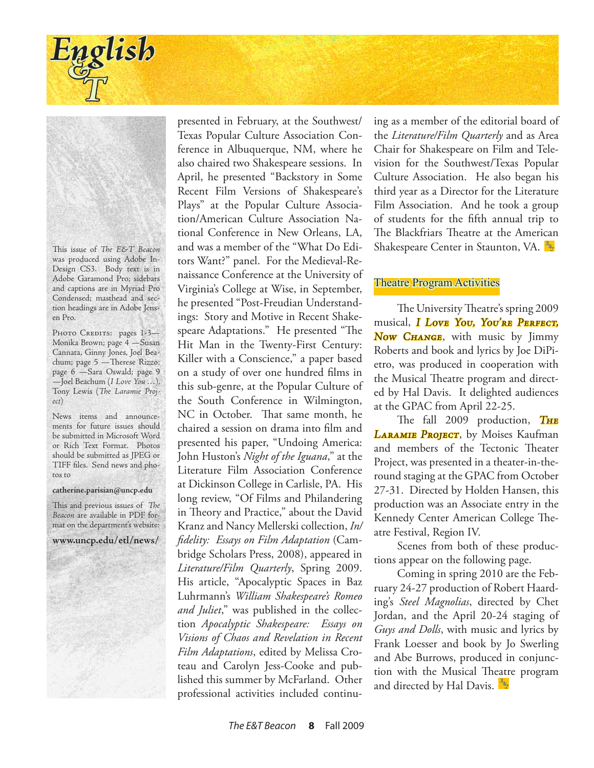

This issue of *The E&T Beacon* was produced using Adobe In-Design CS3. Body text is in Adobe Garamond Pro; sidebars and captions are in Myriad Pro Condensed; masthead and section headings are in Adobe Jensen Pro.

PHOTO CREDITS: pages 1-3-Monika Brown; page 4 —Susan Cannata, Ginny Jones, Joel Beachum; page 5 —Therese Rizzo; page 6 —Sara Oswald; page 9 —Joel Beachum (*I Love You …*), Tony Lewis (*The Laramie Project*)

News items and announcements for future issues should be submitted in Microsoft Word or Rich Text Format. Photos should be submitted as JPEG or TIFF files. Send news and photos to

#### **catherine.parisian@uncp.edu**

This and previous issues of *The Beacon* are available in PDF format on the department's website:

**www.uncp.edu/etl/news/**

presented in February, at the Southwest/ Texas Popular Culture Association Conference in Albuquerque, NM, where he also chaired two Shakespeare sessions. In April, he presented "Backstory in Some Recent Film Versions of Shakespeare's Plays" at the Popular Culture Association/American Culture Association National Conference in New Orleans, LA, and was a member of the "What Do Editors Want?" panel. For the Medieval-Renaissance Conference at the University of Virginia's College at Wise, in September, he presented "Post-Freudian Understandings: Story and Motive in Recent Shakespeare Adaptations." He presented "The Hit Man in the Twenty-First Century: Killer with a Conscience," a paper based on a study of over one hundred films in this sub-genre, at the Popular Culture of the South Conference in Wilmington, NC in October. That same month, he chaired a session on drama into film and presented his paper, "Undoing America: John Huston's *Night of the Iguana*," at the Literature Film Association Conference at Dickinson College in Carlisle, PA. His long review, "Of Films and Philandering in Theory and Practice," about the David Kranz and Nancy Mellerski collection, *In/ fidelity: Essays on Film Adaptation* (Cambridge Scholars Press, 2008), appeared in *Literature/Film Quarterly*, Spring 2009. His article, "Apocalyptic Spaces in Baz Luhrmann's *William Shakespeare's Romeo and Juliet*," was published in the collection *Apocalyptic Shakespeare: Essays on Visions of Chaos and Revelation in Recent Film Adaptations*, edited by Melissa Croteau and Carolyn Jess-Cooke and published this summer by McFarland. Other professional activities included continuing as a member of the editorial board of the *Literature/Film Quarterly* and as Area Chair for Shakespeare on Film and Television for the Southwest/Texas Popular Culture Association. He also began his third year as a Director for the Literature Film Association. And he took a group of students for the fifth annual trip to The Blackfriars Theatre at the American Shakespeare Center in Staunton, VA. *E & T*

### Theatre Program Activities

The University Theatre's spring 2009 musical, *I Love You, You're Perfect, Now Change*, with music by Jimmy Roberts and book and lyrics by Joe DiPietro, was produced in cooperation with the Musical Theatre program and directed by Hal Davis. It delighted audiences at the GPAC from April 22-25.

The fall 2009 production, *The Laramie Project*, by Moises Kaufman and members of the Tectonic Theater Project, was presented in a theater-in-theround staging at the GPAC from October 27-31. Directed by Holden Hansen, this production was an Associate entry in the Kennedy Center American College Theatre Festival, Region IV.

Scenes from both of these productions appear on the following page.

Coming in spring 2010 are the February 24-27 production of Robert Haarding's *Steel Magnolias*, directed by Chet Jordan, and the April 20-24 staging of *Guys and Dolls*, with music and lyrics by Frank Loesser and book by Jo Swerling and Abe Burrows, produced in conjunction with the Musical Theatre program and directed by Hal Davis.  $\frac{R_{\phi}}{T}$